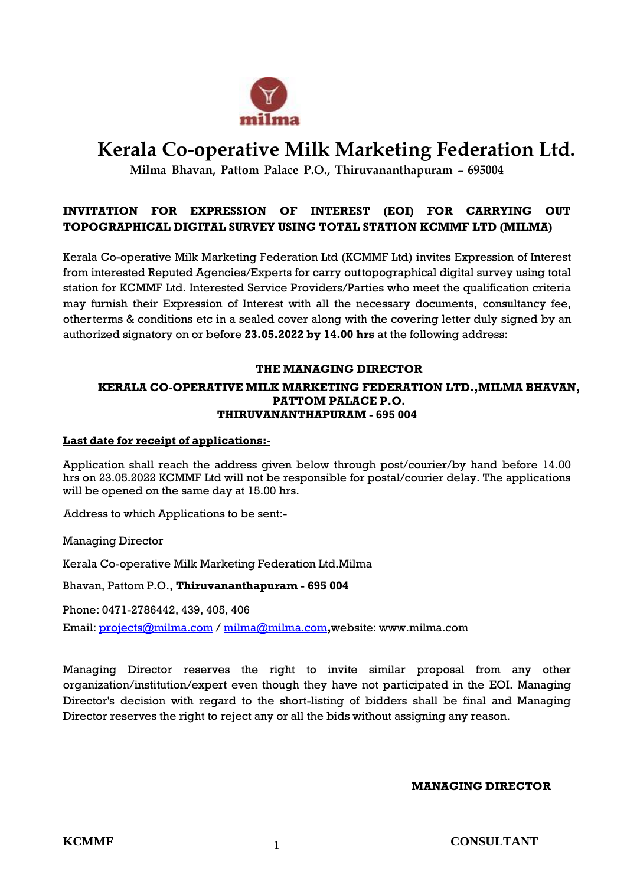

# **Kerala Co-operative Milk Marketing Federation Ltd.**

**Milma Bhavan, Pattom Palace P.O., Thiruvananthapuram** *–* **695004**

## **INVITATION FOR EXPRESSION OF INTEREST (EOI) FOR CARRYING OUT TOPOGRAPHICAL DIGITAL SURVEY USING TOTAL STATION KCMMF LTD (MILMA)**

Kerala Co-operative Milk Marketing Federation Ltd (KCMMF Ltd) invites Expression of Interest from interested Reputed Agencies/Experts for carry outtopographical digital survey using total station for KCMMF Ltd. Interested Service Providers/Parties who meet the qualification criteria may furnish their Expression of Interest with all the necessary documents, consultancy fee, other terms & conditions etc in a sealed cover along with the covering letter duly signed by an authorized signatory on or before **23.05.2022 by 14.00 hrs** at the following address:

### **THE MANAGING DIRECTOR**

#### **KERALA CO-OPERATIVE MILK MARKETING FEDERATION LTD.,MILMA BHAVAN, PATTOM PALACE P.O. THIRUVANANTHAPURAM - 695 004**

### **Last date for receipt of applications:-**

Application shall reach the address given below through post/courier/by hand before 14.00 hrs on 23.05.2022 KCMMF Ltd will not be responsible for postal/courier delay. The applications will be opened on the same day at 15.00 hrs.

Address to which Applications to be sent:-

Managing Director

Kerala Co-operative Milk Marketing Federation Ltd.Milma

Bhavan, Pattom P.O., **Thiruvananthapuram - 695 004**

Phone: 0471-2786442, 439, 405, 406

Email: [projects@milma.com](mailto:projects@milma.com) / [milma@milma.com](mailto:milma@milma.com)**,**website: [www.milma.com](http://www.milma.com/)

Managing Director reserves the right to invite similar proposal from any other organization/institution/expert even though they have not participated in the EOI. Managing Director's decision with regard to the short-listing of bidders shall be final and Managing Director reserves the right to reject any or all the bids without assigning any reason.

### **MANAGING DIRECTOR**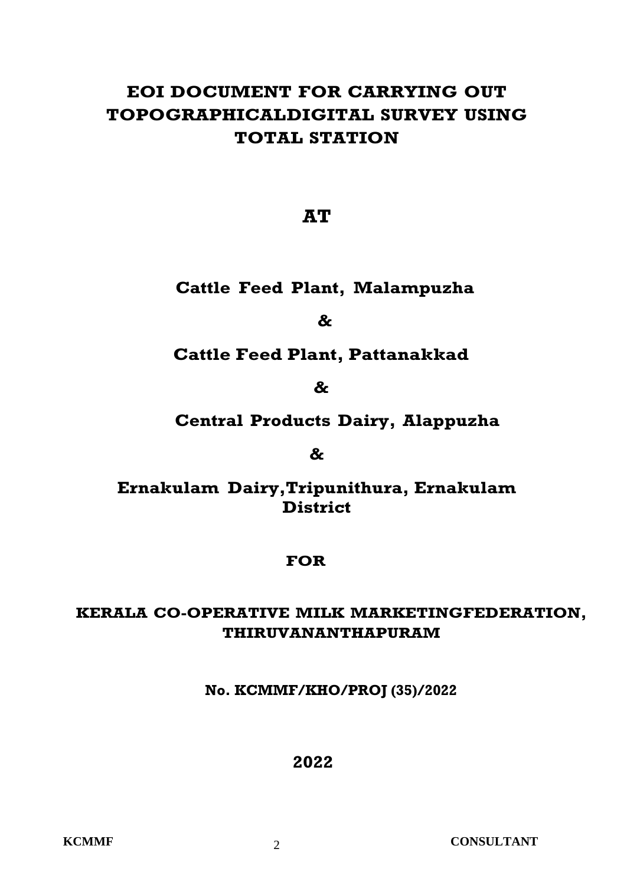# **EOI DOCUMENT FOR CARRYING OUT TOPOGRAPHICALDIGITAL SURVEY USING TOTAL STATION**

**AT**

## **Cattle Feed Plant, Malampuzha**

**&**

## **Cattle Feed Plant, Pattanakkad**

**&**

## **Central Products Dairy, Alappuzha**

## **&**

## **Ernakulam Dairy,Tripunithura, Ernakulam District**

## **FOR**

## **KERALA CO-OPERATIVE MILK MARKETINGFEDERATION, THIRUVANANTHAPURAM**

## **No. KCMMF/KHO/PROJ (35)/2022**

## **2022**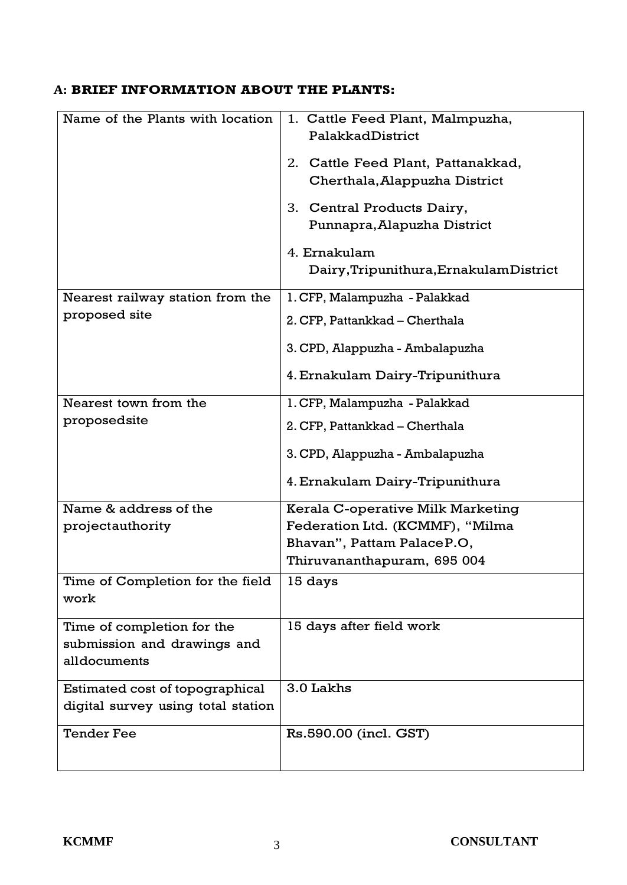## **A: BRIEF INFORMATION ABOUT THE PLANTS:**

| Name of the Plants with location   | 1. Cattle Feed Plant, Malmpuzha,        |  |  |
|------------------------------------|-----------------------------------------|--|--|
|                                    | PalakkadDistrict                        |  |  |
|                                    | 2. Cattle Feed Plant, Pattanakkad,      |  |  |
|                                    | Cherthala, Alappuzha District           |  |  |
|                                    | 3. Central Products Dairy,              |  |  |
|                                    | Punnapra, Alapuzha District             |  |  |
|                                    | 4. Ernakulam                            |  |  |
|                                    | Dairy, Tripunithura, Ernakulam District |  |  |
| Nearest railway station from the   | 1. CFP, Malampuzha - Palakkad           |  |  |
| proposed site                      |                                         |  |  |
|                                    | 2. CFP, Pattankkad - Cherthala          |  |  |
|                                    | 3. CPD, Alappuzha - Ambalapuzha         |  |  |
|                                    | 4. Ernakulam Dairy-Tripunithura         |  |  |
| Nearest town from the              | 1. CFP, Malampuzha - Palakkad           |  |  |
| proposedsite                       |                                         |  |  |
|                                    | 2. CFP, Pattankkad – Cherthala          |  |  |
|                                    | 3. CPD, Alappuzha - Ambalapuzha         |  |  |
|                                    | 4. Ernakulam Dairy-Tripunithura         |  |  |
| Name & address of the              | Kerala C-operative Milk Marketing       |  |  |
| projectauthority                   | Federation Ltd. (KCMMF), "Milma         |  |  |
|                                    | Bhavan", Pattam Palace P.O,             |  |  |
|                                    | Thiruvananthapuram, 695 004             |  |  |
| Time of Completion for the field   | 15 days                                 |  |  |
| work                               |                                         |  |  |
| Time of completion for the         | 15 days after field work                |  |  |
| submission and drawings and        |                                         |  |  |
| alldocuments                       |                                         |  |  |
| Estimated cost of topographical    | 3.0 Lakhs                               |  |  |
| digital survey using total station |                                         |  |  |
| <b>Tender Fee</b>                  | Rs.590.00 (incl. GST)                   |  |  |
|                                    |                                         |  |  |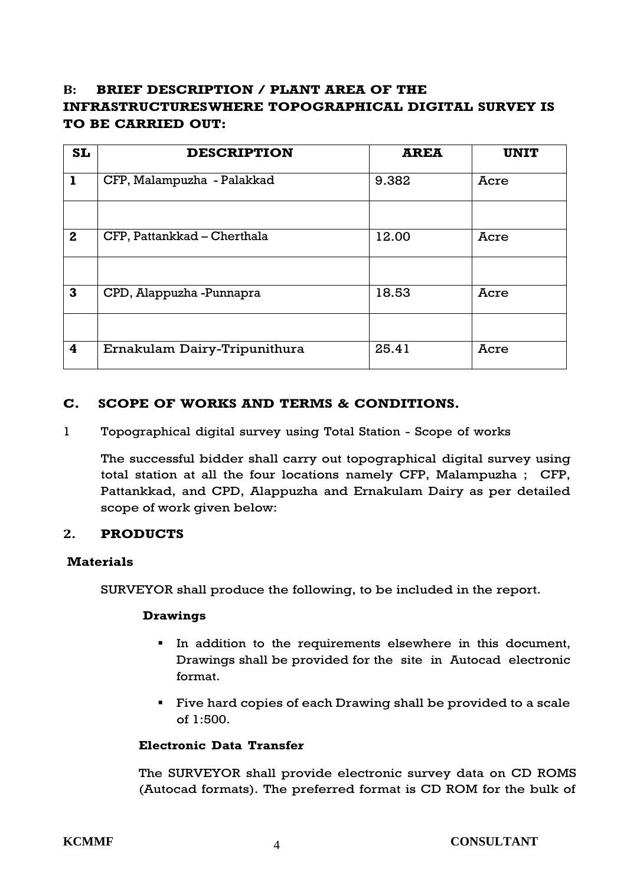## **B: BRIEF DESCRIPTION / PLANT AREA OF THE INFRASTRUCTURESWHERE TOPOGRAPHICAL DIGITAL SURVEY IS TO BE CARRIED OUT:**

| <b>SL</b>    | <b>DESCRIPTION</b>           | <b>AREA</b> | <b>UNIT</b> |
|--------------|------------------------------|-------------|-------------|
| $\mathbf{I}$ | CFP, Malampuzha - Palakkad   | 9.382       | Acre        |
|              |                              |             |             |
| $\mathbf{2}$ | CFP, Pattankkad – Cherthala  | 12.00       | Acre        |
|              |                              |             |             |
| $\mathbf{3}$ | CPD, Alappuzha -Punnapra     | 18.53       | Acre        |
|              |                              |             |             |
| 4            | Ernakulam Dairy-Tripunithura | 25.41       | Acre        |

## **C. SCOPE OF WORKS AND TERMS & CONDITIONS.**

1 Topographical digital survey using Total Station - Scope of works

The successful bidder shall carry out topographical digital survey using total station at all the four locations namely CFP, Malampuzha ; CFP, Pattankkad, and CPD, Alappuzha and Ernakulam Dairy as per detailed scope of work given below:

### **2. PRODUCTS**

### **Materials**

SURVEYOR shall produce the following, to be included in the report.

### **Drawings**

- In addition to the requirements elsewhere in this document, Drawings shall be provided for the site in Autocad electronic format.
- **Five hard copies of each Drawing shall be provided to a scale** of 1:500.

### **Electronic Data Transfer**

The SURVEYOR shall provide electronic survey data on CD ROMS (Autocad formats). The preferred format is CD ROM for the bulk of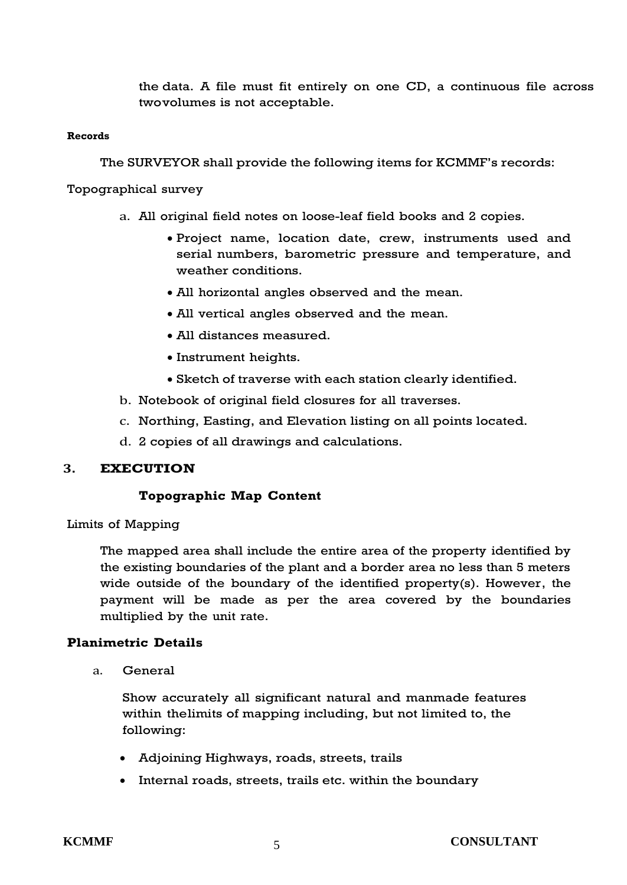the data. A file must fit entirely on one CD, a continuous file across twovolumes is not acceptable.

#### **Records**

The SURVEYOR shall provide the following items for KCMMF's records:

Topographical survey

- a. All original field notes on loose-leaf field books and 2 copies.
	- Project name, location date, crew, instruments used and serial numbers, barometric pressure and temperature, and weather conditions.
	- All horizontal angles observed and the mean.
	- All vertical angles observed and the mean.
	- All distances measured.
	- Instrument heights.
	- Sketch of traverse with each station clearly identified.
- b. Notebook of original field closures for all traverses.
- c. Northing, Easting, and Elevation listing on all points located.
- d. 2 copies of all drawings and calculations.

## **3. EXECUTION**

## **Topographic Map Content**

Limits of Mapping

The mapped area shall include the entire area of the property identified by the existing boundaries of the plant and a border area no less than 5 meters wide outside of the boundary of the identified property(s). However, the payment will be made as per the area covered by the boundaries multiplied by the unit rate.

## **Planimetric Details**

a. General

Show accurately all significant natural and manmade features within thelimits of mapping including, but not limited to, the following:

- Adjoining Highways, roads, streets, trails
- Internal roads, streets, trails etc. within the boundary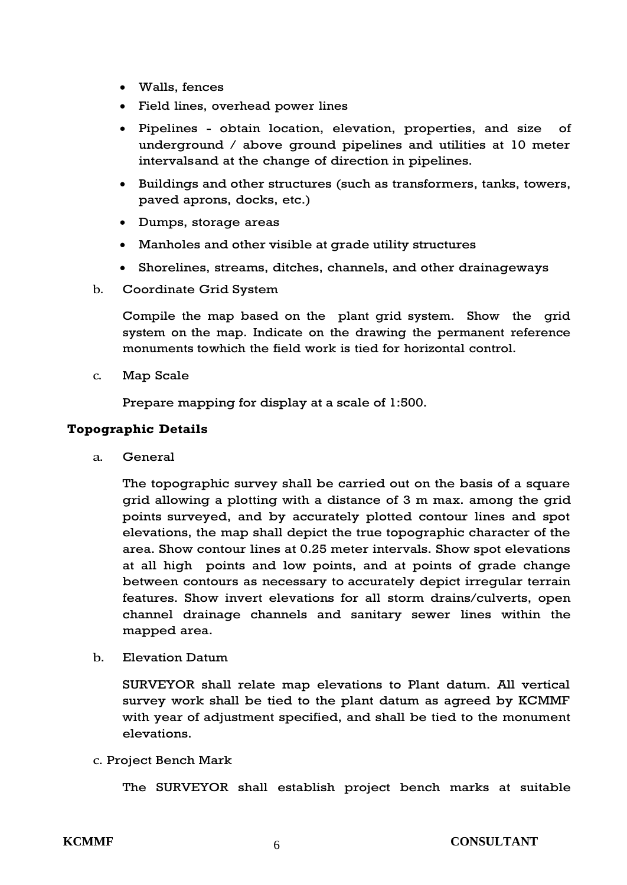- Walls, fences
- Field lines, overhead power lines
- Pipelines obtain location, elevation, properties, and size of underground / above ground pipelines and utilities at 10 meter intervalsand at the change of direction in pipelines.
- Buildings and other structures (such as transformers, tanks, towers, paved aprons, docks, etc.)
- Dumps, storage areas
- Manholes and other visible at grade utility structures
- Shorelines, streams, ditches, channels, and other drainageways
- b. Coordinate Grid System

Compile the map based on the plant grid system. Show the grid system on the map. Indicate on the drawing the permanent reference monuments towhich the field work is tied for horizontal control.

c. Map Scale

Prepare mapping for display at a scale of 1:500.

## **Topographic Details**

a. General

The topographic survey shall be carried out on the basis of a square grid allowing a plotting with a distance of 3 m max. among the grid points surveyed, and by accurately plotted contour lines and spot elevations, the map shall depict the true topographic character of the area. Show contour lines at 0.25 meter intervals. Show spot elevations at all high points and low points, and at points of grade change between contours as necessary to accurately depict irregular terrain features. Show invert elevations for all storm drains/culverts, open channel drainage channels and sanitary sewer lines within the mapped area.

b. Elevation Datum

SURVEYOR shall relate map elevations to Plant datum. All vertical survey work shall be tied to the plant datum as agreed by KCMMF with year of adjustment specified, and shall be tied to the monument elevations.

c. Project Bench Mark

The SURVEYOR shall establish project bench marks at suitable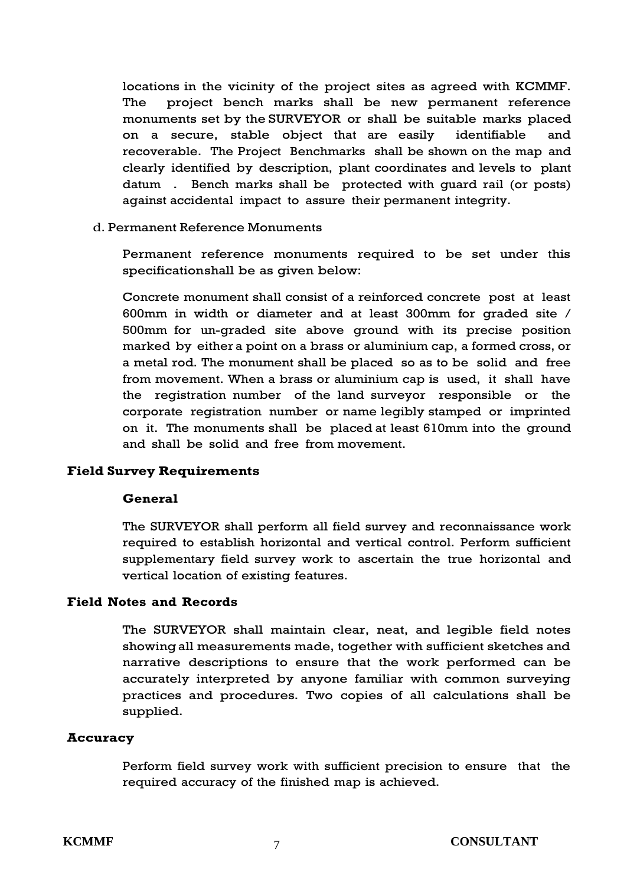locations in the vicinity of the project sites as agreed with KCMMF. The project bench marks shall be new permanent reference monuments set by the SURVEYOR or shall be suitable marks placed on a secure, stable object that are easily identifiable and recoverable. The Project Benchmarks shall be shown on the map and clearly identified by description, plant coordinates and levels to plant datum . Bench marks shall be protected with guard rail (or posts) against accidental impact to assure their permanent integrity.

#### d. Permanent Reference Monuments

Permanent reference monuments required to be set under this specificationshall be as given below:

Concrete monument shall consist of a reinforced concrete post at least 600mm in width or diameter and at least 300mm for graded site / 500mm for un-graded site above ground with its precise position marked by either a point on a brass or aluminium cap, a formed cross, or a metal rod. The monument shall be placed so as to be solid and free from movement. When a brass or aluminium cap is used, it shall have the registration number of the land surveyor responsible or the corporate registration number or name legibly stamped or imprinted on it. The monuments shall be placed at least 610mm into the ground and shall be solid and free from movement.

### **Field Survey Requirements**

#### **General**

The SURVEYOR shall perform all field survey and reconnaissance work required to establish horizontal and vertical control. Perform sufficient supplementary field survey work to ascertain the true horizontal and vertical location of existing features.

#### **Field Notes and Records**

The SURVEYOR shall maintain clear, neat, and legible field notes showingall measurements made, together with sufficient sketches and narrative descriptions to ensure that the work performed can be accurately interpreted by anyone familiar with common surveying practices and procedures. Two copies of all calculations shall be supplied.

#### **Accuracy**

Perform field survey work with sufficient precision to ensure that the required accuracy of the finished map is achieved.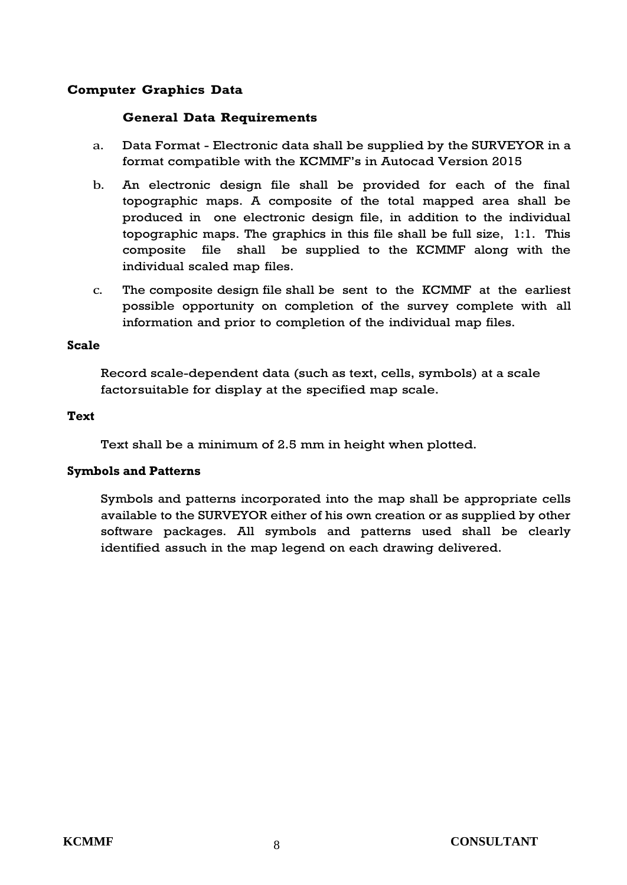## **Computer Graphics Data**

## **General Data Requirements**

- a. Data Format Electronic data shall be supplied by the SURVEYOR in a format compatible with the KCMMF's in Autocad Version 2015
- b. An electronic design file shall be provided for each of the final topographic maps. A composite of the total mapped area shall be produced in one electronic design file, in addition to the individual topographic maps. The graphics in this file shall be full size, 1:1. This composite file shall be supplied to the KCMMF along with the individual scaled map files.
- c. The composite design file shall be sent to the KCMMF at the earliest possible opportunity on completion of the survey complete with all information and prior to completion of the individual map files.

#### **Scale**

Record scale-dependent data (such as text, cells, symbols) at a scale factorsuitable for display at the specified map scale.

### **Text**

Text shall be a minimum of 2.5 mm in height when plotted.

### **Symbols and Patterns**

Symbols and patterns incorporated into the map shall be appropriate cells available to the SURVEYOR either of his own creation or as supplied by other software packages. All symbols and patterns used shall be clearly identified assuch in the map legend on each drawing delivered.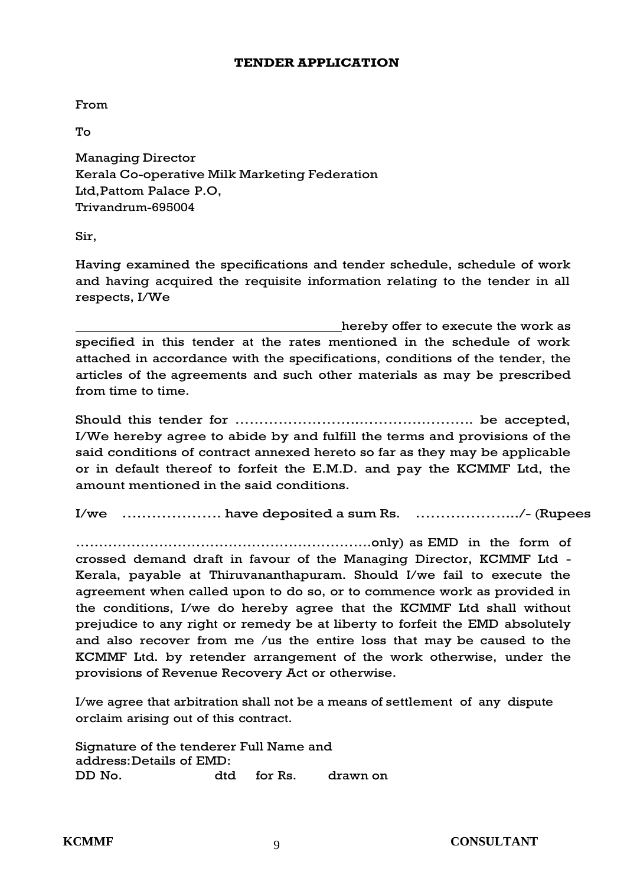#### **TENDER APPLICATION**

From

To

Managing Director Kerala Co-operative Milk Marketing Federation Ltd,Pattom Palace P.O, Trivandrum-695004

Sir,

Having examined the specifications and tender schedule, schedule of work and having acquired the requisite information relating to the tender in all respects, I/We

hereby offer to execute the work as specified in this tender at the rates mentioned in the schedule of work attached in accordance with the specifications, conditions of the tender, the articles of the agreements and such other materials as may be prescribed from time to time.

Should this tender for ……………………..………….……….. be accepted, I/We hereby agree to abide by and fulfill the terms and provisions of the said conditions of contract annexed hereto so far as they may be applicable or in default thereof to forfeit the E.M.D. and pay the KCMMF Ltd, the amount mentioned in the said conditions.

I/we ….……………. have deposited a sum Rs. ……………….../- (Rupees

……………………………………………………….only) as EMD in the form of crossed demand draft in favour of the Managing Director, KCMMF Ltd - Kerala, payable at Thiruvananthapuram. Should I/we fail to execute the agreement when called upon to do so, or to commence work as provided in the conditions, I/we do hereby agree that the KCMMF Ltd shall without prejudice to any right or remedy be at liberty to forfeit the EMD absolutely and also recover from me /us the entire loss that may be caused to the KCMMF Ltd. by retender arrangement of the work otherwise, under the provisions of Revenue Recovery Act or otherwise.

I/we agree that arbitration shall not be a means of settlement of any dispute orclaim arising out of this contract.

Signature of the tenderer Full Name and address:Details of EMD: DD No. dtd for Rs. drawn on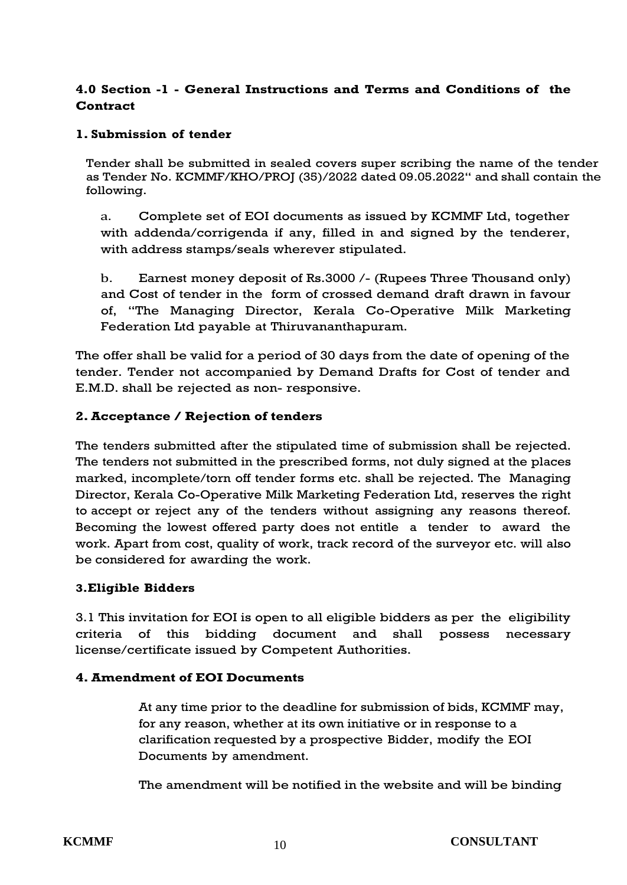## **4.0 Section -1 - General Instructions and Terms and Conditions of the Contract**

## **1. Submission of tender**

Tender shall be submitted in sealed covers super scribing the name of the tender as Tender No. KCMMF/KHO/PROJ (35)/2022 dated 09.05.2022" and shall contain the following.

a. Complete set of EOI documents as issued by KCMMF Ltd, together with addenda/corrigenda if any, filled in and signed by the tenderer, with address stamps/seals wherever stipulated.

b. Earnest money deposit of Rs.3000 /- (Rupees Three Thousand only) and Cost of tender in the form of crossed demand draft drawn in favour of, "The Managing Director, Kerala Co-Operative Milk Marketing Federation Ltd payable at Thiruvananthapuram.

The offer shall be valid for a period of 30 days from the date of opening of the tender. Tender not accompanied by Demand Drafts for Cost of tender and E.M.D. shall be rejected as non- responsive.

## **2.Acceptance / Rejection of tenders**

The tenders submitted after the stipulated time of submission shall be rejected. The tenders not submitted in the prescribed forms, not duly signed at the places marked, incomplete/torn off tender forms etc. shall be rejected. The Managing Director, Kerala Co-Operative Milk Marketing Federation Ltd, reserves the right to accept or reject any of the tenders without assigning any reasons thereof. Becoming the lowest offered party does not entitle a tender to award the work. Apart from cost, quality of work, track record of the surveyor etc. will also be considered for awarding the work.

## **3.Eligible Bidders**

3.1 This invitation for EOI is open to all eligible bidders as per the eligibility criteria of this bidding document and shall possess necessary license/certificate issued by Competent Authorities.

### **4. Amendment of EOI Documents**

At any time prior to the deadline for submission of bids, KCMMF may, for any reason, whether at its own initiative or in response to a clarification requested by a prospective Bidder, modify the EOI Documents by amendment.

The amendment will be notified in the website and will be binding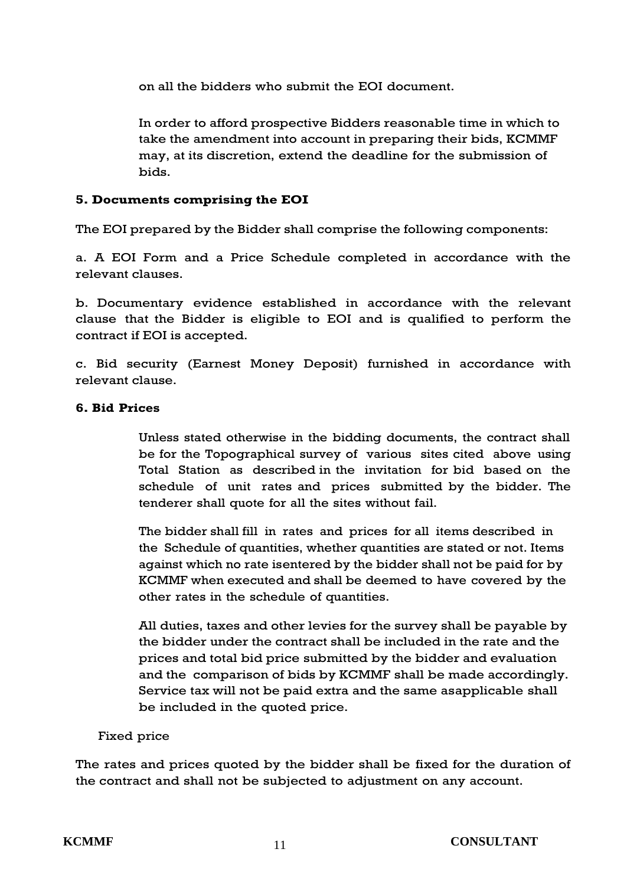on all the bidders who submit the EOI document.

In order to afford prospective Bidders reasonable time in which to take the amendment into account in preparing their bids, KCMMF may, at its discretion, extend the deadline for the submission of bids.

## **5. Documents comprising the EOI**

The EOI prepared by the Bidder shall comprise the following components:

a. A EOI Form and a Price Schedule completed in accordance with the relevant clauses.

b. Documentary evidence established in accordance with the relevant clause that the Bidder is eligible to EOI and is qualified to perform the contract if EOI is accepted.

c. Bid security (Earnest Money Deposit) furnished in accordance with relevant clause.

## **6. Bid Prices**

Unless stated otherwise in the bidding documents, the contract shall be for the Topographical survey of various sites cited above using Total Station as described in the invitation for bid based on the schedule of unit rates and prices submitted by the bidder. The tenderer shall quote for all the sites without fail.

The bidder shall fill in rates and prices for all items described in the Schedule of quantities, whether quantities are stated or not. Items against which no rate isentered by the bidder shall not be paid for by KCMMF when executed and shall be deemed to have covered by the other rates in the schedule of quantities.

All duties, taxes and other levies for the survey shall be payable by the bidder under the contract shall be included in the rate and the prices and total bid price submitted by the bidder and evaluation and the comparison of bids by KCMMF shall be made accordingly. Service tax will not be paid extra and the same asapplicable shall be included in the quoted price.

## Fixed price

The rates and prices quoted by the bidder shall be fixed for the duration of the contract and shall not be subjected to adjustment on any account.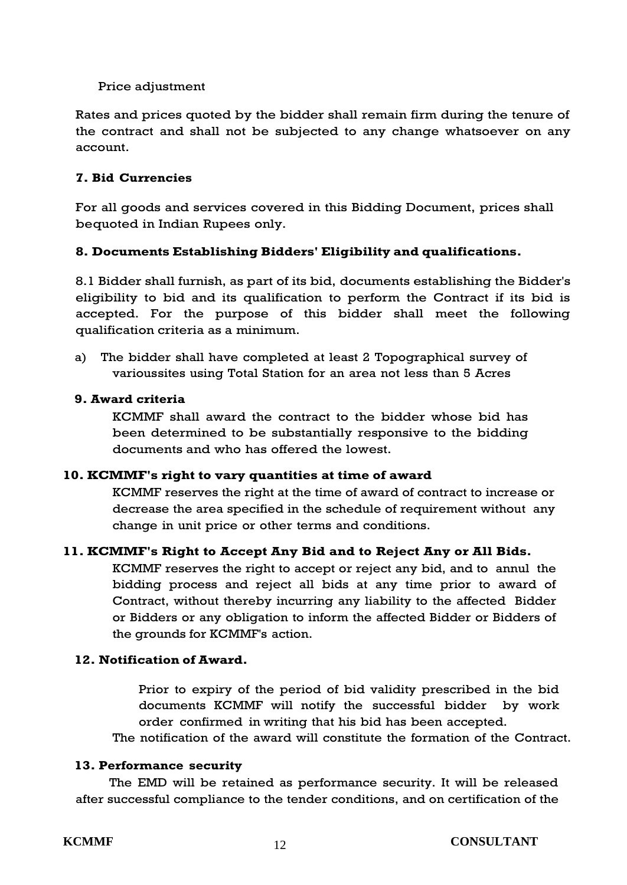## Price adjustment

Rates and prices quoted by the bidder shall remain firm during the tenure of the contract and shall not be subjected to any change whatsoever on any account.

## **7. Bid Currencies**

For all goods and services covered in this Bidding Document, prices shall bequoted in Indian Rupees only.

## **8. Documents Establishing Bidders' Eligibility and qualifications.**

8.1 Bidder shall furnish, as part of its bid, documents establishing the Bidder's eligibility to bid and its qualification to perform the Contract if its bid is accepted. For the purpose of this bidder shall meet the following qualification criteria as a minimum.

a) The bidder shall have completed at least 2 Topographical survey of varioussites using Total Station for an area not less than 5 Acres

## **9. Award criteria**

KCMMF shall award the contract to the bidder whose bid has been determined to be substantially responsive to the bidding documents and who has offered the lowest.

## **10. KCMMF's right to vary quantities at time of award**

KCMMF reserves the right at the time of award of contract to increase or decrease the area specified in the schedule of requirement without any change in unit price or other terms and conditions.

## **11. KCMMF's Right to Accept Any Bid and to Reject Any or All Bids.**

KCMMF reserves the right to accept or reject any bid, and to annul the bidding process and reject all bids at any time prior to award of Contract, without thereby incurring any liability to the affected Bidder or Bidders or any obligation to inform the affected Bidder or Bidders of the grounds for KCMMF's action.

## **12. Notification of Award.**

Prior to expiry of the period of bid validity prescribed in the bid documents KCMMF will notify the successful bidder by work order confirmed in writing that his bid has been accepted.

The notification of the award will constitute the formation of the Contract.

### **13. Performance security**

The EMD will be retained as performance security. It will be released after successful compliance to the tender conditions, and on certification of the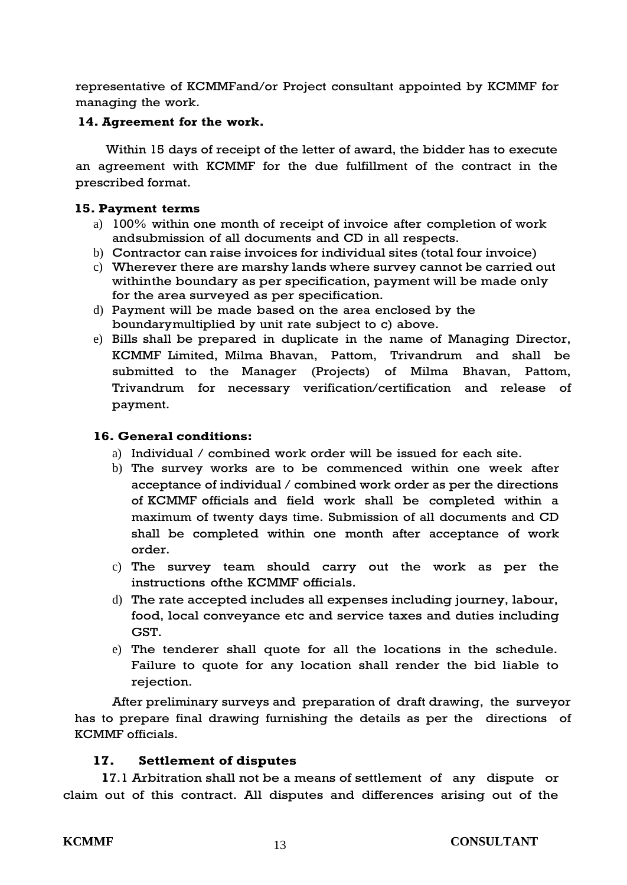representative of KCMMFand/or Project consultant appointed by KCMMF for managing the work.

## **14. Agreement for the work.**

Within 15 days of receipt of the letter of award, the bidder has to execute an agreement with KCMMF for the due fulfillment of the contract in the prescribed format.

### **15. Payment terms**

- a) 100% within one month of receipt of invoice after completion of work andsubmission of all documents and CD in all respects.
- b) Contractor can raise invoices for individual sites (total four invoice)
- c) Wherever there are marshy lands where survey cannot be carried out withinthe boundary as per specification, payment will be made only for the area surveyed as per specification.
- d) Payment will be made based on the area enclosed by the boundarymultiplied by unit rate subject to c) above.
- e) Bills shall be prepared in duplicate in the name of Managing Director, KCMMF Limited, Milma Bhavan, Pattom, Trivandrum and shall be submitted to the Manager (Projects) of Milma Bhavan, Pattom, Trivandrum for necessary verification/certification and release of payment.

## **16. General conditions:**

- a) Individual / combined work order will be issued for each site.
- b) The survey works are to be commenced within one week after acceptance of individual / combined work order as per the directions of KCMMF officials and field work shall be completed within a maximum of twenty days time. Submission of all documents and CD shall be completed within one month after acceptance of work order.
- c) The survey team should carry out the work as per the instructions ofthe KCMMF officials.
- d) The rate accepted includes all expenses including journey, labour, food, local conveyance etc and service taxes and duties including GST.
- e) The tenderer shall quote for all the locations in the schedule. Failure to quote for any location shall render the bid liable to rejection.

After preliminary surveys and preparation of draft drawing, the surveyor has to prepare final drawing furnishing the details as per the directions of KCMMF officials.

### **17. Settlement of disputes**

**1**7.1 Arbitration shall not be a means of settlement of any dispute or claim out of this contract. All disputes and differences arising out of the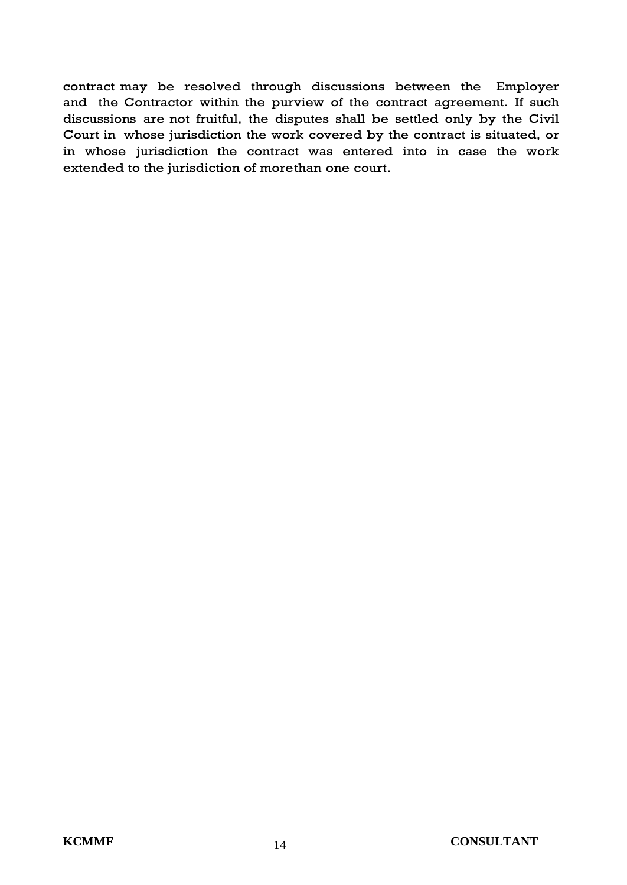contract may be resolved through discussions between the Employer and the Contractor within the purview of the contract agreement. If such discussions are not fruitful, the disputes shall be settled only by the Civil Court in whose jurisdiction the work covered by the contract is situated, or in whose jurisdiction the contract was entered into in case the work extended to the jurisdiction of morethan one court.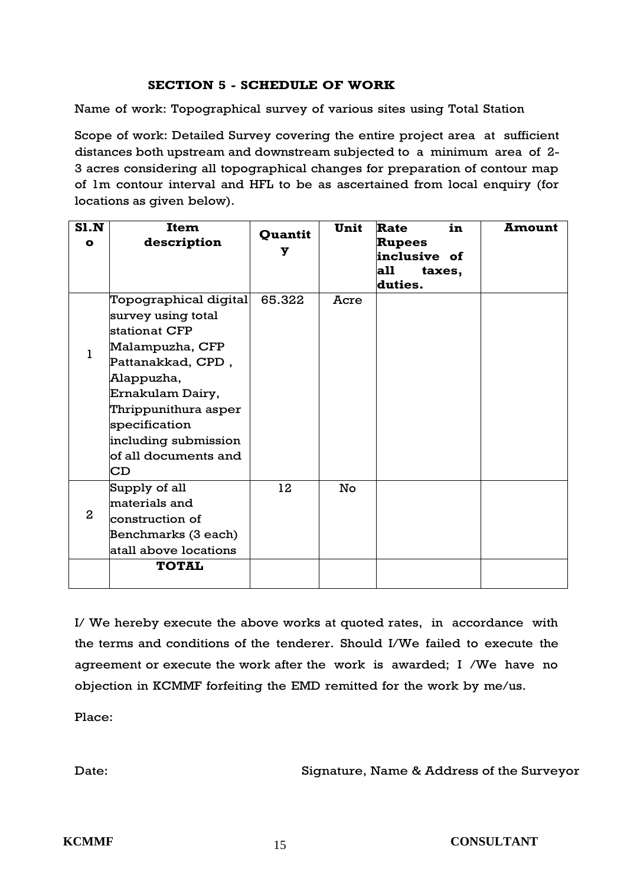## **SECTION 5 - SCHEDULE OF WORK**

Name of work: Topographical survey of various sites using Total Station

Scope of work: Detailed Survey covering the entire project area at sufficient distances both upstream and downstream subjected to a minimum area of 2- 3 acres considering all topographical changes for preparation of contour map of 1m contour interval and HFL to be as ascertained from local enquiry (for locations as given below).

| S1.N<br>$\bullet$ | Item<br>description                                                                                                                                                                                                                   | Quantit<br>У | Unit | in<br>Rate<br><b>Rupees</b><br>inclusive of<br>all<br>taxes,<br>duties. | <b>Amount</b> |
|-------------------|---------------------------------------------------------------------------------------------------------------------------------------------------------------------------------------------------------------------------------------|--------------|------|-------------------------------------------------------------------------|---------------|
|                   | Topographical digital<br>survey using total<br>stationat CFP<br>Malampuzha, CFP<br>Pattanakkad, CPD,<br>Alappuzha,<br>Ernakulam Dairy,<br>Thrippunithura asper<br>specification<br>including submission<br>of all documents and<br>CD | 65.322       | Acre |                                                                         |               |
| $\mathbf{2}$      | Supply of all<br>materials and<br>construction of<br>Benchmarks (3 each)<br>atall above locations<br><b>TOTAL</b>                                                                                                                     | 12           | No   |                                                                         |               |

I/ We hereby execute the above works at quoted rates, in accordance with the terms and conditions of the tenderer. Should I/We failed to execute the agreement or execute the work after the work is awarded; I /We have no objection in KCMMF forfeiting the EMD remitted for the work by me/us.

Place:

Date: Signature, Name & Address of the Surveyor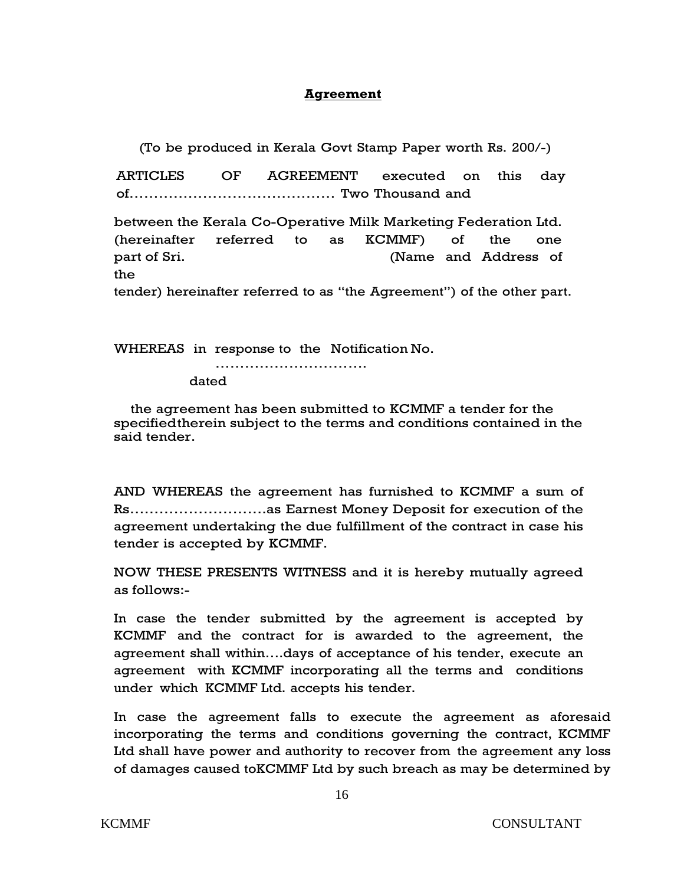#### **Agreement**

(To be produced in Kerala Govt Stamp Paper worth Rs. 200/-)

ARTICLES OF AGREEMENT executed on this day of…………………………………… Two Thousand and

between the Kerala Co-Operative Milk Marketing Federation Ltd. (hereinafter referred to as KCMMF) of the one part of Sri. (Name and Address of the tender) hereinafter referred to as "the Agreement") of the other part.

WHEREAS in response to the Notification No.

…………………………………… dated

the agreement has been submitted to KCMMF a tender for the specifiedtherein subject to the terms and conditions contained in the said tender.

AND WHEREAS the agreement has furnished to KCMMF a sum of Rs……………………….as Earnest Money Deposit for execution of the agreement undertaking the due fulfillment of the contract in case his tender is accepted by KCMMF.

NOW THESE PRESENTS WITNESS and it is hereby mutually agreed as follows:-

In case the tender submitted by the agreement is accepted by KCMMF and the contract for is awarded to the agreement, the agreement shall within….days of acceptance of his tender, execute an agreement with KCMMF incorporating all the terms and conditions under which KCMMF Ltd. accepts his tender.

In case the agreement falls to execute the agreement as aforesaid incorporating the terms and conditions governing the contract, KCMMF Ltd shall have power and authority to recover from the agreement any loss of damages caused toKCMMF Ltd by such breach as may be determined by